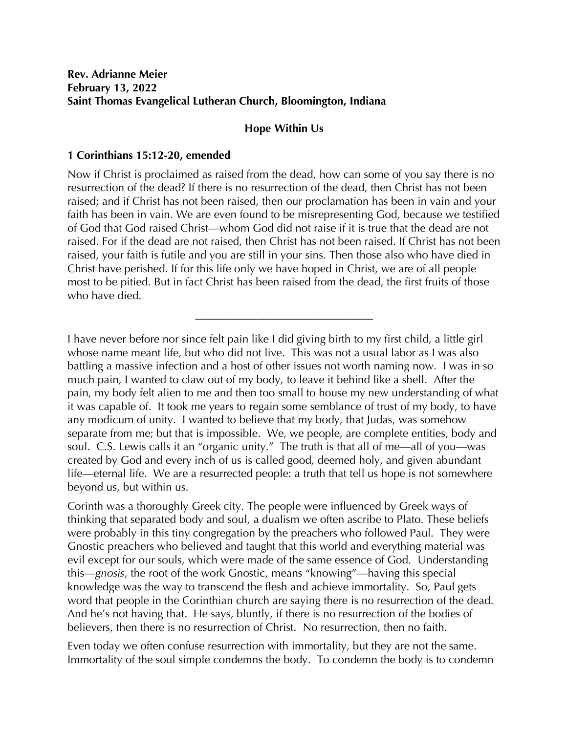## **Rev. Adrianne Meier February 13, 2022 Saint Thomas Evangelical Lutheran Church, Bloomington, Indiana**

## **Hope Within Us**

## **1 Corinthians 15:12-20, emended**

Now if Christ is proclaimed as raised from the dead, how can some of you say there is no resurrection of the dead? If there is no resurrection of the dead, then Christ has not been raised; and if Christ has not been raised, then our proclamation has been in vain and your faith has been in vain. We are even found to be misrepresenting God, because we testified of God that God raised Christ—whom God did not raise if it is true that the dead are not raised. For if the dead are not raised, then Christ has not been raised. If Christ has not been raised, your faith is futile and you are still in your sins. Then those also who have died in Christ have perished. If for this life only we have hoped in Christ, we are of all people most to be pitied. But in fact Christ has been raised from the dead, the first fruits of those who have died.

\_\_\_\_\_\_\_\_\_\_\_\_\_\_\_\_\_\_\_\_\_\_\_\_\_\_\_\_\_\_\_\_

I have never before nor since felt pain like I did giving birth to my first child, a little girl whose name meant life, but who did not live. This was not a usual labor as I was also battling a massive infection and a host of other issues not worth naming now. I was in so much pain, I wanted to claw out of my body, to leave it behind like a shell. After the pain, my body felt alien to me and then too small to house my new understanding of what it was capable of. It took me years to regain some semblance of trust of my body, to have any modicum of unity. I wanted to believe that my body, that Judas, was somehow separate from me; but that is impossible. We, we people, are complete entities, body and soul. C.S. Lewis calls it an "organic unity." The truth is that all of me—all of you—was created by God and every inch of us is called good, deemed holy, and given abundant life—eternal life. We are a resurrected people: a truth that tell us hope is not somewhere beyond us, but within us.

Corinth was a thoroughly Greek city. The people were influenced by Greek ways of thinking that separated body and soul, a dualism we often ascribe to Plato. These beliefs were probably in this tiny congregation by the preachers who followed Paul. They were Gnostic preachers who believed and taught that this world and everything material was evil except for our souls, which were made of the same essence of God. Understanding this—*gnosis*, the root of the work Gnostic, means "knowing"—having this special knowledge was the way to transcend the flesh and achieve immortality. So, Paul gets word that people in the Corinthian church are saying there is no resurrection of the dead. And he's not having that. He says, bluntly, if there is no resurrection of the bodies of believers, then there is no resurrection of Christ. No resurrection, then no faith.

Even today we often confuse resurrection with immortality, but they are not the same. Immortality of the soul simple condemns the body. To condemn the body is to condemn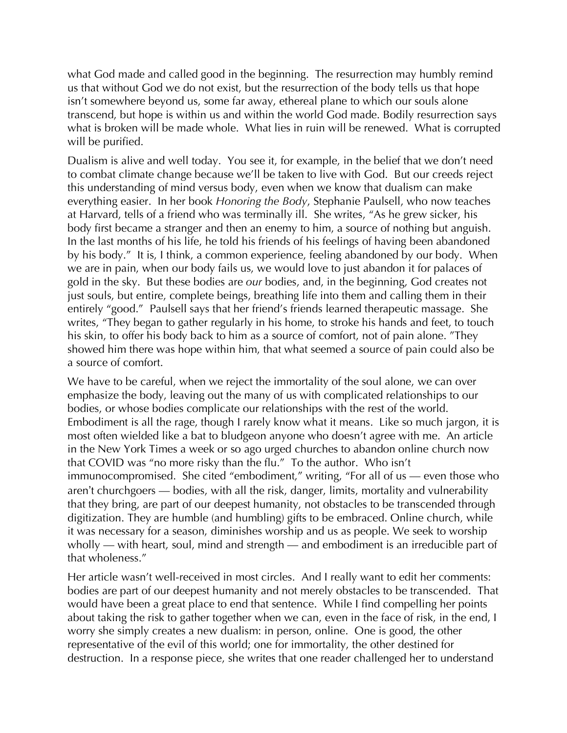what God made and called good in the beginning. The resurrection may humbly remind us that without God we do not exist, but the resurrection of the body tells us that hope isn't somewhere beyond us, some far away, ethereal plane to which our souls alone transcend, but hope is within us and within the world God made. Bodily resurrection says what is broken will be made whole. What lies in ruin will be renewed. What is corrupted will be purified.

Dualism is alive and well today. You see it, for example, in the belief that we don't need to combat climate change because we'll be taken to live with God. But our creeds reject this understanding of mind versus body, even when we know that dualism can make everything easier. In her book *Honoring the Body*, Stephanie Paulsell, who now teaches at Harvard, tells of a friend who was terminally ill. She writes, "As he grew sicker, his body first became a stranger and then an enemy to him, a source of nothing but anguish. In the last months of his life, he told his friends of his feelings of having been abandoned by his body." It is, I think, a common experience, feeling abandoned by our body. When we are in pain, when our body fails us, we would love to just abandon it for palaces of gold in the sky. But these bodies are *our* bodies, and, in the beginning, God creates not just souls, but entire, complete beings, breathing life into them and calling them in their entirely "good." Paulsell says that her friend's friends learned therapeutic massage. She writes, "They began to gather regularly in his home, to stroke his hands and feet, to touch his skin, to offer his body back to him as a source of comfort, not of pain alone. "They showed him there was hope within him, that what seemed a source of pain could also be a source of comfort.

We have to be careful, when we reject the immortality of the soul alone, we can over emphasize the body, leaving out the many of us with complicated relationships to our bodies, or whose bodies complicate our relationships with the rest of the world. Embodiment is all the rage, though I rarely know what it means. Like so much jargon, it is most often wielded like a bat to bludgeon anyone who doesn't agree with me. An article in the New York Times a week or so ago urged churches to abandon online church now that COVID was "no more risky than the flu." To the author. Who isn't immunocompromised. She cited "embodiment," writing, "For all of us — even those who aren't churchgoers — bodies, with all the risk, danger, limits, mortality and vulnerability that they bring, are part of our deepest humanity, not obstacles to be transcended through digitization. They are humble (and humbling) gifts to be embraced. Online church, while it was necessary for a season, diminishes worship and us as people. We seek to worship wholly — with heart, soul, mind and strength — and embodiment is an irreducible part of that wholeness."

Her article wasn't well-received in most circles. And I really want to edit her comments: bodies are part of our deepest humanity and not merely obstacles to be transcended. That would have been a great place to end that sentence. While I find compelling her points about taking the risk to gather together when we can, even in the face of risk, in the end, I worry she simply creates a new dualism: in person, online. One is good, the other representative of the evil of this world; one for immortality, the other destined for destruction. In a response piece, she writes that one reader challenged her to understand